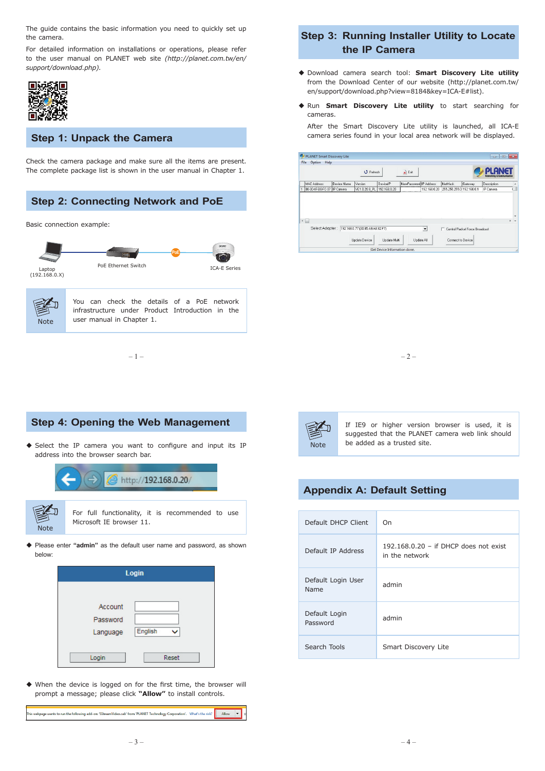The guide contains the basic information you need to quickly set up the camera.

For detailed information on installations or operations, please refer to the user manual on PLANET web site *(http://planet.com.tw/en/ support/download.php).*



## **Step 1: Unpack the Camera**

Check the camera package and make sure all the items are present. The complete package list is shown in the user manual in Chapter 1.



## **Step 3: Running Installer Utility to Locate the IP Camera**

- Download camera search tool: **Smart Discovery Lite utility** from the Download Center of our website (http://planet.com.tw/ en/support/download.php?view=8184&key=ICA-E#list).
- Run **Smart Discovery Lite utility** to start searching for cameras.
	- After the Smart Discovery Lite utility is launched, all ICA-E camera series found in your local area network will be displayed.

| File<br>Option<br>Help      |             |                                  |              |                        |                      |                           |                                |                                       |     |
|-----------------------------|-------------|----------------------------------|--------------|------------------------|----------------------|---------------------------|--------------------------------|---------------------------------------|-----|
|                             |             | <b>U</b> Refresh                 |              | $\mathbf{k}$ Exit      |                      |                           |                                | <b>Networking &amp; Communication</b> |     |
| <b>MAC Address</b>          | Device Name | Version                          | DeviceIP     | NewPassword IP Address |                      | NetMask                   | Gateway                        | Description                           |     |
| 00-30-4F-B8-FC-37 IP Camera |             | VE1.0.20.8 PL                    | 192.168.0.20 |                        | 192.168.0.20         | 255.255.255.0 192.168.0.1 |                                | IP Camera                             |     |
|                             |             |                                  |              |                        |                      |                           |                                |                                       |     |
|                             |             |                                  |              |                        |                      |                           |                                |                                       |     |
|                             |             |                                  |              |                        |                      |                           |                                |                                       | $+$ |
| Select Adapter:             |             | 192.168.0.77 (30.85.A9.A8:82:F7) |              |                        | $\blacktriangledown$ |                           | Control Packet Force Broadcast |                                       |     |
| $\leftarrow$                |             | Update Device                    | Update Multi | Update All             |                      | Connect to Device         |                                |                                       |     |





If IE9 or higher version browser is used, it is suggested that the PLANET camera web link should be added as a trusted site.

# **Appendix A: Default Setting**

| Default DHCP Client        | On                                                        |  |  |  |
|----------------------------|-----------------------------------------------------------|--|--|--|
| Default IP Address         | $192.168.0.20 -$ if DHCP does not exist<br>in the network |  |  |  |
| Default Login User<br>Name | admin                                                     |  |  |  |
| Default Login<br>Password  | admin                                                     |  |  |  |
| Search Tools               | Smart Discovery Lite                                      |  |  |  |



**Step 4: Opening the Web Management**

◆ Select the IP camera you want to configure and input its IP



 When the device is logged on for the first time, the browser will prompt a message; please click **"Allow"** to install controls.

This webpage wants to run the following add-on: 'SStreamVideo.cab' from 'PLANET Technology Corporation'. What's the risk? Allow T